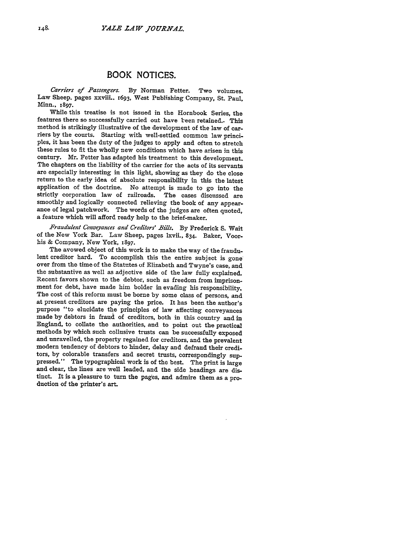## BOOK **NOTICES.**

*Carriers of Passengers.* By Norman Fetter. Two volumes. Law Sheep, pages xxviii.. 1693, West Publishing Company, St. Paul, Minn., **1897.**

While this treatise is not issued in the Hornbook Series, the features there so successfully carried out have been retained. This method is strikingly illustrative of the development of the law of carriers by the courts. Starting with well-settled common law principles, it has been the duty of the judges to apply and often to stretch these rules to fit the wholly new conditions which have arisen in this century. Mr. Fetter has adapted his treatment to this development. The chapters on the liability of the carrier for the acts of its servants are especially interesting in this light, showing as they do the close return to the early idea of absolute responsibility in this the latest application of the doctrine. No attempt is made to go into the strictly corporation law of railroads. The cases discussed are smoothly and logically connected relieving the book of any appearance of legal patchwork. The words of the judges are often quoted, a feature which will afford ready help to the brief-maker.

*F-raudulent Conveyances and Creditors' Bills.* By Frederick **S.** Wait of the New York Bar. Law Sheep, pages lxvii., 834. Baker, Voorhis **&** Company, New York, 1897.

The avowed object of this work is to make the way of the fraudulent creditor hard. To accomplish this the entire subject is gone over from the time of the Statutes of Elizabeth and Twyne's case, and the substantive as well as adjective side of the law fully explained. Recent favors shown to the debtor, such as freedom from imprisonment for debt, have made him bolder in evading his responsibility. The cost of this reform must be borne **by** some class of persons, and at present creditors are paying the price. It has been the author's purpose "to elucidate the principles of law affecting conveyances made **by** debtors in fraud of creditors, both in this country and in England, to collate the authorities, and to point out the practical methods **by** which such collusive trusts can be successfully exposed and unravelled, the property regained for creditors, and the prevalent modern tendency of debtors to hinder, delay and defraud their creditors, **by** colorable transfers and secret trusts, correspondingly suppressed." The typographical work is of the best. The print is large and clear, the lines are well leaded, and the side headings are distinct. It is a pleasure to turn the pages, and admire them as a production of the printer's art.